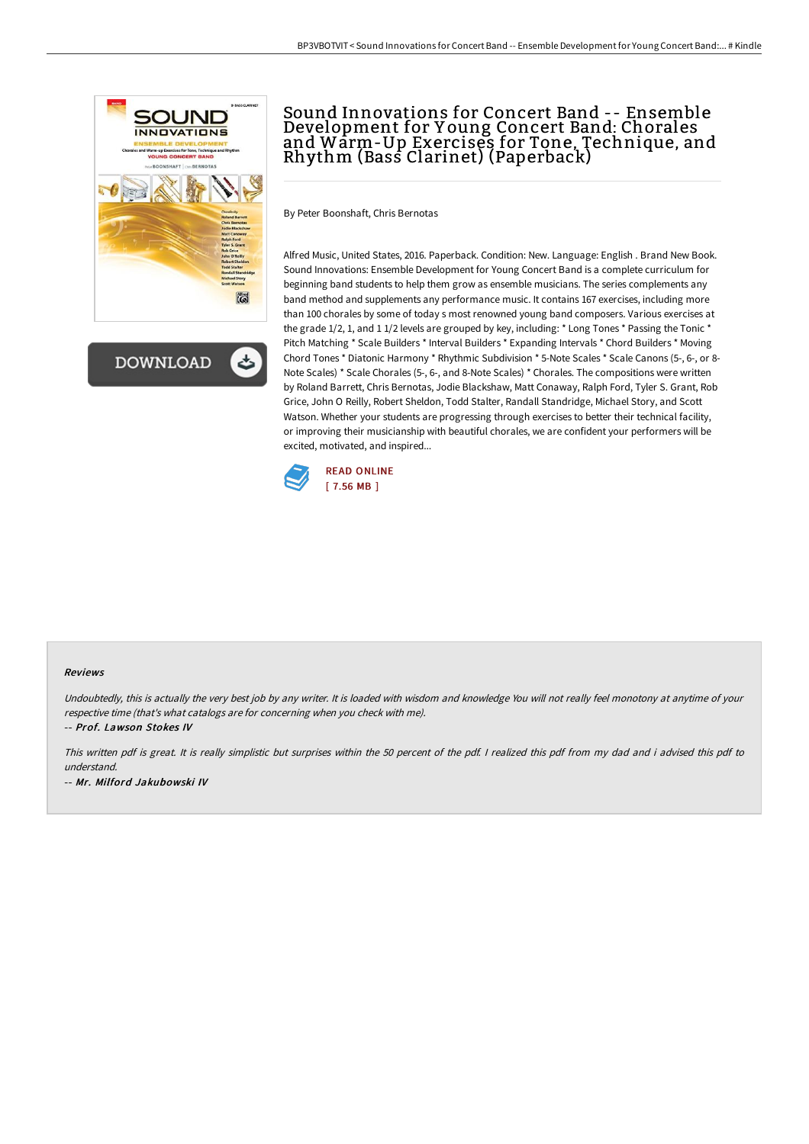

**DOWNLOAD** 

## Sound Innovations for Concert Band -- Ensemble Development for Y oung Concert Band: Chorales and Warm-Up Exercises for Tone, Technique, and Rhythm (Bass Clarinet) (Paperback)

By Peter Boonshaft, Chris Bernotas

Alfred Music, United States, 2016. Paperback. Condition: New. Language: English . Brand New Book. Sound Innovations: Ensemble Development for Young Concert Band is a complete curriculum for beginning band students to help them grow as ensemble musicians. The series complements any band method and supplements any performance music. It contains 167 exercises, including more than 100 chorales by some of today s most renowned young band composers. Various exercises at the grade 1/2, 1, and 1 1/2 levels are grouped by key, including: \* Long Tones \* Passing the Tonic \* Pitch Matching \* Scale Builders \* Interval Builders \* Expanding Intervals \* Chord Builders \* Moving Chord Tones \* Diatonic Harmony \* Rhythmic Subdivision \* 5-Note Scales \* Scale Canons (5-, 6-, or 8- Note Scales) \* Scale Chorales (5-, 6-, and 8-Note Scales) \* Chorales. The compositions were written by Roland Barrett, Chris Bernotas, Jodie Blackshaw, Matt Conaway, Ralph Ford, Tyler S. Grant, Rob Grice, John O Reilly, Robert Sheldon, Todd Stalter, Randall Standridge, Michael Story, and Scott Watson. Whether your students are progressing through exercises to better their technical facility, or improving their musicianship with beautiful chorales, we are confident your performers will be excited, motivated, and inspired...



## Reviews

Undoubtedly, this is actually the very best job by any writer. It is loaded with wisdom and knowledge You will not really feel monotony at anytime of your respective time (that's what catalogs are for concerning when you check with me).

-- Prof. Lawson Stokes IV

This written pdf is great. It is really simplistic but surprises within the <sup>50</sup> percent of the pdf. <sup>I</sup> realized this pdf from my dad and i advised this pdf to understand.

-- Mr. Milford Jakubowski IV